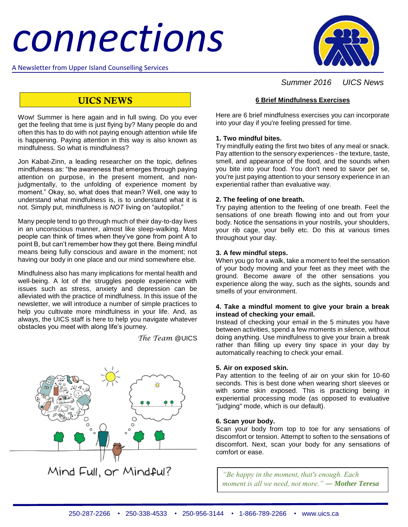# *connections*

A Newsletter from Upper Island Counselling Services



## *Summer 2016 UICS News*

## **UICS NEWS**

Wow! Summer is here again and in full swing. Do you ever get the feeling that time is just flying by? Many people do and often this has to do with not paying enough attention while life is happening. Paying attention in this way is also known as mindfulness. So what is mindfulness?

Jon Kabat-Zinn, a leading researcher on the topic, defines mindfulness as: "the awareness that emerges through paying attention on purpose, in the present moment, and nonjudgmentally, to the unfolding of experience moment by moment." Okay, so, what does that mean? Well, one way to understand what mindfulness is, is to understand what it is not. Simply put, mindfulness is *NOT* living on "autopilot."

Many people tend to go through much of their day-to-day lives in an unconscious manner, almost like sleep-walking. Most people can think of times when they've gone from point A to point B, but can't remember how they got there. Being mindful means being fully conscious and aware in the moment; not having our body in one place and our mind somewhere else.

Mindfulness also has many implications for mental health and well-being. A lot of the struggles people experience with issues such as stress, anxiety and depression can be alleviated with the practice of mindfulness. In this issue of the newsletter, we will introduce a number of simple practices to help you cultivate more mindfulness in your life. And, as always, the UICS staff is here to help you navigate whatever obstacles you meet with along life's journey.

*The Team* @UICS



Mind Full, or Mindful?

#### **6 Brief Mindfulness Exercises**

Here are 6 brief mindfulness exercises you can incorporate into your day if you're feeling pressed for time.

#### **1. Two mindful bites.**

Try mindfully eating the first two bites of any meal or snack. Pay attention to the sensory experiences - the texture, taste, smell, and appearance of the food, and the sounds when you bite into your food. You don't need to savor per se, you're just paying attention to your sensory experience in an experiential rather than evaluative way.

#### **2. The feeling of one breath.**

Try paying attention to the feeling of one breath. Feel the sensations of one breath flowing into and out from your body. Notice the sensations in your nostrils, your shoulders, your rib cage, your belly etc. Do this at various times throughout your day.

#### **3. A few mindful steps.**

When you go for a walk, take a moment to feel the sensation of your body moving and your feet as they meet with the ground. Become aware of the other sensations you experience along the way, such as the sights, sounds and smells of your environment.

#### **4. Take a mindful moment to give your brain a break instead of checking your email.**

Instead of checking your email in the 5 minutes you have between activities, spend a few moments in silence, without doing anything. Use mindfulness to give your brain a break rather than filling up every tiny space in your day by automatically reaching to check your email.

#### **5. Air on exposed skin.**

Pay attention to the feeling of air on your skin for 10-60 seconds. This is best done when wearing short sleeves or with some skin exposed. This is practicing being in experiential processing mode (as opposed to evaluative "judging" mode, which is our default).

#### **6. Scan your body.**

Scan your body from top to toe for any sensations of discomfort or tension. Attempt to soften to the sensations of discomfort. Next, scan your body for any sensations of comfort or ease.

*"Be happy in the moment, that's enough. Each moment is all we need, not more." ― [Mother Teresa](https://www.goodreads.com/author/show/838305.Mother_Teresa)*